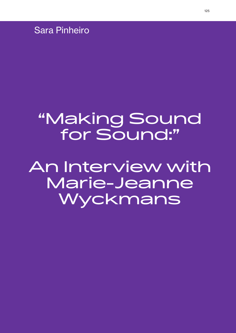Sara Pinheiro

# "Making Sound for Sound:"

An Interview with Marie-Jeanne Wyckmans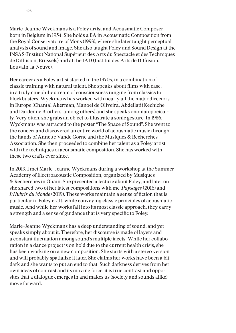Marie-Jeanne Wyckmans is a Foley artist and Acousmatic Composer born in Belgium in 1954. She holds a BA in Acousmatic Composition from the Royal Conservatoire of Mons (1993), where she later taught perceptual analysis of sound and image. She also taught Foley and Sound Design at the INSAS (Institut National Supérieur des Arts du Spectacle et des Techniques de Diffusion, Brussels) and at the IAD (Institut des Arts de Diffusion, Louvain-la-Neuve).

Her career as a Foley artist started in the 1970s, in a combination of classic training with natural talent. She speaks about films with ease, in a truly cinephilic stream of consciousness ranging from classics to blockbusters. Wyckmans has worked with nearly all the major directors in Europe (Chantal Akerman, Manoel de Oliveira, Abdellatif Kechiche and Dardenne Brothers, among others) and she speaks onomatopoeically. Very often, she grabs an object to illustrate a sonic gesture. In 1986, Wyckmans was attracted to the poster "The Space of Sound". She went to the concert and discovered an entire world of acousmatic music through the hands of Annette Vande Gorne and the Musiques & Recherches Association. She then proceeded to combine her talent as a Foley artist with the techniques of acousmatic composition. She has worked with these two crafts ever since.

In 2019, I met Marie-Jeanne Wyckmans during a workshop at the Summer Academy of Electroacoustic Composition, organized by Musiques & Recherches in Ohain. She presented a lecture about Foley, and later on she shared two of her latest compositions with me: *Paysages* (2016) and *L'Hubris du Monde* (2019). These works maintain a sense of fiction that is particular to Foley craft, while conveying classic principles of acousmatic music. And while her works fall into its most classic approach, they carry a strength and a sense of guidance that is very specific to Foley.

Marie-Jeanne Wyckmans has a deep understanding of sound, and yet speaks simply about it. Therefore, her discourse is made of layers and a constant fluctuation among sound's multiple facets. While her collaboration in a dance project is on hold due to the current health crisis, she has been working on a new composition. She starts with a stereo version and will probably spatialize it later. She claims her works have been a bit dark and she wants to put an end to that. Such darkness derives from her own ideas of contrast and its moving force: it is true contrast and opposites that a dialogue emerges in and makes us (society and sounds alike) move forward.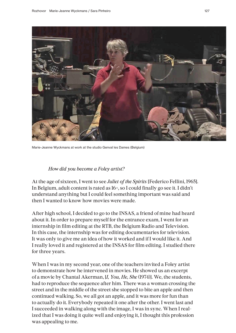

Marie-Jeanne Wyckmans at work at the studio Genval les Dames (Belgium)

#### *How did you become a Foley artist?*

At the age of sixteen, I went to see *Juliet of the Spirits* [Federico Fellini, 1965]. In Belgium, adult content is rated as 16+, so I could finally go see it. I didn't understand anything but I could feel something important was said and then I wanted to know how movies were made.

After high school, I decided to go to the INSAS, a friend of mine had heard about it. In order to prepare myself for the entrance exam, I went for an internship in film editing at the RTB, the Belgium Radio and Television. In this case, the internship was for editing documentaries for television. It was only to give me an idea of how it worked and if I would like it. And I really loved it and registered at the INSAS for film editing. I studied there for three years.

When I was in my second year, one of the teachers invited a Foley artist to demonstrate how he intervened in movies. He showed us an excerpt of a movie by Chantal Akerman, [*I, You, He, She* (1974)]. We, the students, had to reproduce the sequence after him. There was a woman crossing the street and in the middle of the street she stopped to bite an apple and then continued walking. So, we all got an apple, and it was more for fun than to actually do it. Everybody repeated it one after the other. I went last and I succeeded in walking along with the image, I was in sync. When I realized that I was doing it quite well and enjoying it, I thought this profession was appealing to me.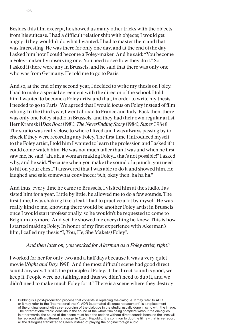Besides this film excerpt, he showed us many other tricks with the objects from his suitcase. I had a difficult relationship with objects; I would get angry if they wouldn't do what I wanted. I had to master them and that was interesting. He was there for only one day, and at the end of the day I asked him how I could become a Foley-maker. And he said: "You become a Foley-maker by observing one. You need to see how they do it." So, I asked if there were any in Brussels, and he said that there was only one who was from Germany. He told me to go to Paris.

And so, at the end of my second year, I decided to write my thesis on Foley. I had to make a special agreement with the director of the school. I told him I wanted to become a Foley artist and that, in order to write my thesis, I needed to go to Paris. We agreed that I would focus on Foley instead of film editing. In the third year, I went abroad to France and Italy. Back then, there was only one Foley studio in Brussels, and they had their own regular artist, Herr Kramski [*Das Boot* (1981); *The NeverEnding Story* (1984); *Super* (1984)]. The studio was really close to where I lived and I was always passing by to check if they were recording any Foley. The first time I introduced myself to the Foley artist, I told him I wanted to learn the profession and I asked if it could come watch him. He was not much taller than I was and when he first saw me, he said "ah, ah, a woman making Foley... that's not possible!" I asked why, and he said: "because when you make the sound of a punch, you need to hit on your chest." I answered that I was able to do it and showed him. He laughed and said somewhat convinced: "Ah, okay then, ha ha ha."

And thus, every time he came to Brussels, I visited him at the studio. I assisted him for a year. Little by little, he allowed me to do a few sounds. The first time, I was shaking like a leaf. I had to practice a lot by myself. He was really kind to me, knowing there would be another Foley artist in Brussels once I would start professionally, so he wouldn't be requested to come to Belgium anymore. And yet, he showed me everything he knew. This is how I started making Foley. In honor of my first experience with Akerman's film, I called my thesis "I, You, He, She Make(s) Foley".

## *And then later on, you worked for Akerman as a Foley artist, right?*

I worked for her for only two and a half days because it was a very quiet movie [*Night and Day*, 1991]. And the most difficult scene had good direct sound anyway. That's the principle of Foley: if the direct sound is good, we keep it. People were not talking, and thus we didn't need to dub it, and we didn't need to make much Foley for it.<sup>1</sup> There is a scene where they destroy

<sup>1</sup> Dubbing is a post-production process that consists in replacing the dialogue. It may refer to ADR or it may refer to the "International track". ADR (automated dialogue replacement) is a replacement of the original sound with a re-recording of the dialogue in the studio, usually done in sync with the image. The "international track" consists in the sound of the whole film being *complete* without the dialogues. In other words, the sound of the scene must hold the actions without direct sounds because the lines will be replaced with a different language. In Czech Republic, it is common to dub the films – that is, re-record all the dialogues translated to Czech instead of playing the original foreign audio.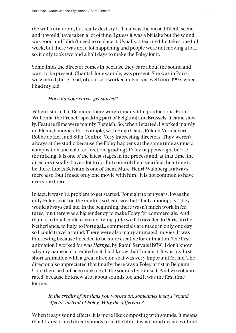the walls of a room, but really destroy it. That was the most difficult scene and it would have taken a lot of time. I guess it was a bit fake but the sound was good and I didn't need to replace it. Usually, a feature film takes one full week, but there was not a lot happening and people were not moving a lot... so, it only took two and a half days to make the Foley for it.

Sometimes the director comes in because they care about the sound and want to be present. Chantal, for example, was present. She was in Paris, we worked there. And, of course, I worked in Paris as well until 1995, when I had my kid.

# *How did your career get started?*

When I started in Belgium, there weren't many film productions. From Wallonia [the French-speaking part of Belgium] and Brussels, it came slowly. Feature films were mainly Flemish. So, when I started, I worked mainly on Flemish movies. For example, with Hugo Claus, Roland Verhaevert, Robbe de Hert and Stijn Coninx. Very interesting directors. They weren't always at the studio because the Foley happens at the same time as music composition and color correction [grading]. Foley happens right before the mixing. It is one of the latest stages in the process and, at that time, the directors usually have a lot to do. But some of them sacrifice their time to be there. Lucas Belvaux is one of them, Marc-Henri Wajnberg is always there also (but I made only one movie with him). It is not common to have everyone there.

In fact, it wasn't a problem to get started. For eight to ten years, I was the only Foley artist on the market, so I can say that I had a monopoly. They would always call me. In the beginning, there wasn't much work in features, but there was a big tendency to make Foley for commercials. And thanks to that I could earn my living quite well. I travelled to Paris, to the Netherlands, to Italy, to Portugal… commercials are made in only one day so I could travel around. There were also many animated movies. It was interesting because I needed to be more creative for animation. The first animation I worked for was *Harpya*, by Raoul Servais [1979]. I don't know why my name isn't credited in it, but I know that I made it. It was my first short animation with a great director, so it was very important for me. The director also appreciated that finally there was a Foley artist in Belgium. Until then, he had been making all the sounds by himself. And we collaborated, because he knew a lot about sounds too and it was the first time for me.

# *In the credits of the films you worked on, sometimes it says "sound effects" instead of Foley. Why the difference?*

When it says sound effects, it is more like composing with sounds. It means that I transformed direct sounds from the film. It was sound design without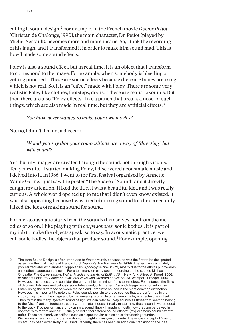calling it sound design.<sup>2</sup> For example, in the French movie *Doctor Petiot* [Christan de Chalonge, 1990], the main character, Dr. Petiot (played by Michel Serrault), becomes more and more insane. So, I took the recording of his laugh, and I transformed it in order to make him sound mad. This is how I made some sound effects.

Foley is also a sound effect, but in real time. It is an object that I transform to correspond to the image. For example, when somebody is bleeding or getting punched… These are sound effects because there are bones breaking which is not real. So, it is an "effect" made with Foley. There are some very realistic Foley like clothes, footsteps, doors… These are realistic sounds. But then there are also "Foley effects," like a punch that breaks a nose, or such things, which are also made in real time, but they are artificial effects.<sup>3</sup>

*You have never wanted to make your own movies?* 

No, no, I didn't. I'm not a director.

*Would you say that your compositions are a way of "directing" but with sound?* 

Yes, but my images are created through the sound, not through visuals. Ten years after I started making Foley, I discovered acousmatic music and I delved into it. In 1986, I went to the first festival organised by Annette Vande Gorne. I just saw the poster "The Space of Sound" and it directly caught my attention. I liked the title, it was a beautiful idea and I was really curious. A whole world opened up to me that I didn't even know existed. It was also appealing because I was tired of making sound for the screen only. I liked the idea of making sound for sound.

For me, acousmatic starts from the sounds themselves, not from the melodies or so on. I like playing with *corps sonores* [sonic bodies]. It is part of my job to make the objects speak, so to say. In acousmatic practice, we call sonic bodies the objects that produce sound.<sup>4</sup> For example, opening

- 2 The term Sound Design is often attributed to Walter Murch, because he was the first to be designated as such in the final credits of Francis Ford Coppola's *The Rain People* (1969). The term was ultimately popularized later with another Coppola film, *Apocalypse Now* (1979) mostly due to the efforts put towards an aesthetic approach to sound. For a testimony on early sound recording on the set see Michael Ondaatje. *The Conversations: Walter Murch and the Art of Editing Film*. New York: Alfred A. Knopf, 2002; or Vincent LoBrutto, *Sound-on-Film: Interviews with Creators of Film Sound*, Westport: Praeger, 1994. However, it is necessary to consider the geographical framing of this terminology. For instance, the films of Jacques Tati were meticulously sound-designed, only the term "sound-design" was not yet in use.
- 3 Establishing the difference between realistic and unrealistic sounds is the most common distinction. However, it is important to note that Foley sounds pertain to those sounds that are performed in the studio, in sync with the image and by maneuvering a prop. In other words, Foley is a technique in itself. Then, within the many layers of sound design, we can refer to Foley sounds as those that seem to belong to the (visual) action: footsteps, cutlery, doors, etc. It doesn't really matter how those sounds were added to the track, if by performance or by using a sound library. It matters mostly how they are perceived in contrast with "effect sounds" – usually called either "stereo sound effects" (sfx) or "mono sound effects" (mfx). These are clearly an artifact, such as a spectacular explosion or threatening thunder.

4 Wyckmans is referring to a long tradition of thought in *musique concrète*. The whole concept of "sound object" has been extensively discussed. Recently, there has been an additional transition to the idea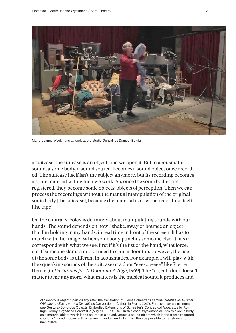

Marie-Jeanne Wyckmans at work at the studio Genval les Dames (Belgium)

a suitcase: the suitcase is an object, and we open it. But in acousmatic sound, a sonic body, a sound source, becomes a sound object once recorded. The suitcase itself isn't the subject anymore, but its recording becomes a sonic material with which we work. So, once the sonic bodies are registered, they become sonic objects; objects of perception. Then we can process the recordings without the manual manipulation of the original sonic body [the suitcase], because the material is now the recording itself [the tape].

On the contrary, Foley is definitely about manipulating sounds with our hands. The sound depends on how I shake, sway or bounce an object that I'm holding in my hands, in real time in front of the screen. It has to match with the image. When somebody punches someone else, it has to correspond with what we see, first if it's the fist or the hand, what force, etc. If someone slams a door, I need to slam a door too. However, the use of the sonic body is different in acousmatics. For example, I will play with the squeaking sounds of the suitcase or a door "eee-oo-eee" like Pierre Henry [in *Variations for A Door and A Sigh*, 1969]. The "object" door doesn't matter to me anymore, what matters is the musical sound it produces and

of "sonorous object," particularly after the translation of Pierre Schaeffer's seminal *Treatise on Musical Objects: An Essay across Disciplines* (University of California Press, 2017). For a shorter assessment, see Gestural-Sonorous Objects: Embodied Extensions of Schaeffer's Conceptual Apparatus by Rolf Inge Godøy, *Organised Sound* 11.2 (Aug. 2006):149–157. In this case, Wyckmans alludes to a sonic body as a material object which is the source of a sound, versus a sound object which is the frozen recorded sound, a "closed groove" with a beginning and an end which will then be possible to transform and manipulate.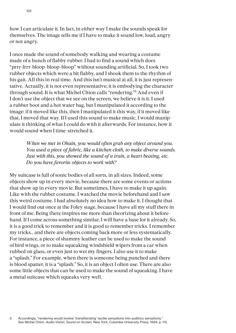how I can articulate it. In fact, in either way I make the sounds speak for themselves. The image tells me if I have to make it sound low, loud, angry or not angry.

I once made the sound of somebody walking and wearing a costume made of a bunch of flabby rubber. I had to find a sound which does "prrr-frrr-bloop-bloop-bloop" without sounding artificial. So, I took two rubber objects which were a bit flabby, and I shook them to the rhythm of his gait. All this in real time. And this isn't musical at all, it is just representative. Actually, it is not even representative; it is embodying the character through sound. It is what Michel Chion calls "rendering."<sup>5</sup> And even if I don't use the object that we see on the screen, we believe it is it. I used a rubber boot and a hot water bag, but I manipulated it according to the image: if it moved like this, then I manipulated it this way, if it moved like that, I moved that way. If I used this sound to make music, I would manipulate it thinking of what I could do with it afterwards. For instance, how it would sound when I time-stretched it.

> *When we met in Ohain, you would often grab any object around you. You used a piece of fabric, like a kitchen cloth, to make diverse sounds. Just with this, you showed the sound of a train, a heart beating, etc. Do you have favorite objects to work with?*

My suitcase is full of sonic bodies of all sorts, in all sizes. Indeed, some objects show up in every movie, because there are some events or actions that show up in every movie. But sometimes, I have to make it up again. Like with the rubber costume. I watched the movie beforehand and I saw this weird costume. I had absolutely no idea how to make it. I thought that I would find out once at the Foley stage, because I have all my stuff there in front of me. Being there inspires me more than theorizing about it beforehand. If I come across something similar, I will have a base for it already. So, it is a good trick to remember and it is good to remember tricks. I remember my tricks… and there are objects coming back more or less systematically. For instance, a piece of shammy leather can be used to make the sound of bird wings, or to make squeaking windshield wipers from a car when rubbed on glass, or even just to wet my fingers. I also use it to make a "splash." For example, when there is someone being punched and there is blood spatter, it is a "splash." So, it is an object I often use. There are also some little objects that can be used to make the sound of squeaking. I have a metal suitcase which squeaks very well.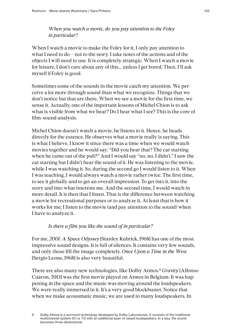*When you watch a movie, do you pay attention to the Foley in particular?* 

When I watch a movie to make the Foley for it, I only pay attention to what I need to do – not to the story. I take notes of the actions and of the objects I will need to use. It is completely strategic. When I watch a movie for leisure, I don't care about any of this... unless I get bored. Then, I'll ask myself if Foley is good.

Sometimes some of the sounds in the movie catch my attention. We perceive a lot more through sound than what we recognize. Things that we don't notice but that are there. When we see a movie for the first time, we sense it. Actually, one of the important lessons of Michel Chion is to ask what is visible from what we hear? Do I hear what I see? This is the core of film-sound analysis.

Michel Chion doesn't watch a movie, he listens to it. Hence, he heads directly for the essence. He observes what a movie really is saying. This is what I believe. I know it since there was a time when we would watch movies together and he would say: "Did you hear that? The car starting when he came out of the pub?" And I would say "no, no, I didn't." I saw the car starting but I didn't hear the sound of it. He was listening to the movie, while I was watching it. So, during the second go I would listen to it. When I was teaching, I would always watch a movie rather twice. The first time, to see it globally and to get an overall impression. To get into it, into the story and into what interests me. And the second time, I would watch in more detail. It is then that I listen. That is the difference between watching a movie for recreational purposes or to analyze it. At least that is how it works for me; I listen to the movie (and pay attention to the sound) when I have to analyze it.

# *Is there a film you like the sound of in particular?*

For me, *2001: A Space Odyssey* [Stanley Kubrick, 1968] has one of the most impressive sound designs. It is full of silences. It contains very few sounds, and only those fill the image completely. *Once Upon a Time in the West* [Sergio Leone, 1968] is also very beautiful.

There are also many new technologies, like Dolby Atmos.<sup>6</sup> *Gravity* [Alfonso Cuáron, 2013] was the first movie played on Atmos in Belgium. It was happening *in* the space and the music was moving around the loudspeakers. We were really immersed in it. It's a very good blockbuster. Notice that when we make acousmatic music, we are used to many loudspeakers. In

<sup>6</sup> Dolby Atmos is a surround technology developed by Dolby Laboratories. It consists of the traditional multichannel system (5.1 or 7.1) with an additional layer of raised loudspeakers. In a way, the sound becomes three-dimensional.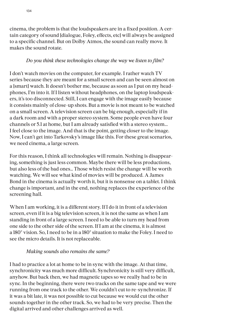cinema, the problem is that the loudspeakers are in a fixed position. A certain category of sound [dialogue, Foley, effects, etc] will always be assigned to a specific channel. But on Dolby Atmos, the sound can really move. It makes the sound rotate.

# *Do you think these technologies change the way we listen to film?*

I don't watch movies on the computer, for example. I rather watch TV series because they are meant for a small screen and can be seen almost on a [smart] watch. It doesn't bother me, because as soon as I put on my headphones, I'm into it. If I listen without headphones, on the laptop loudspeakers, it's too disconnected. Still, I can engage with the image easily because it consists mainly of close-up shots. But a movie is not meant to be watched on a small screen. A television screen can be big enough, especially if in a dark room and with a proper stereo system. Some people even have four channels or 5.1 at home, but I am already satisfied with a stereo system... I feel close to the image. And that is the point, getting closer to the image. Now, I can't get into Tarkovsky's image like this. For these great scenarios, we need cinema, a large screen.

For this reason, I think all technologies will remain. Nothing is disappearing, something is just less common. Maybe there will be less productions, but also less of the bad ones… Those which resist the change will be worth watching. We will see what kind of movies will be produced. A James Bond in the cinema is actually worth it, but it is nonsense on a tablet. I think change is important, and in the end, nothing replaces the experience of the screening hall.

When I am working, it is a different story. If I do it in front of a television screen, even if it is a big television screen, it is not the same as when I am standing in front of a large screen. I need to be able to turn my head from one side to the other side of the screen. If I am at the cinema, it is almost a 180° vision. So, I need to be in a 180° situation to make the Foley. I need to see the micro details. It is not replaceable.

# *Making sounds also remains the same?*

I had to practice a lot at home to be in sync with the image. At that time, synchronicity was much more difficult. Synchronicity is still very difficult, anyhow. But back then, we had magnetic tapes so we really had to be in sync. In the beginning, there were two tracks on the same tape and we were running from one track to the other. We couldn't cut to re-synchronize. If it was a bit late, it was not possible to cut because we would cut the other sounds together in the other track. So, we had to be very precise. Then the digital arrived and other challenges arrived as well.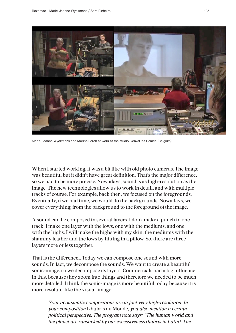

Marie-Jeanne Wyckmans and Marina Lerch at work at the studio Genval les Dames (Belgium)

When I started working, it was a bit like with old photo cameras. The image was beautiful but it didn't have great definition. That's the major difference, so we had to be more precise. Nowadays, sound is as high-resolution as the image. The new technologies allow us to work in detail, and with multiple tracks of course. For example, back then, we focused on the foregrounds. Eventually, if we had time, we would do the backgrounds. Nowadays, we cover everything; from the background to the foreground of the image.

A sound can be composed in several layers. I don't make a punch in one track. I make one layer with the lows, one with the mediums, and one with the highs. I will make the highs with my skin, the mediums with the shammy leather and the lows by hitting in a pillow. So, there are three layers more or less together.

That is the difference… Today we can compose one sound with more sounds. In fact, we decompose the sounds. We want to create a beautiful sonic-image, so we decompose its layers. Commercials had a big influence in this, because they zoom into things and therefore we needed to be much more detailed. I think the sonic-image is more beautiful today because it is more resolute, like the visual-image.

*Your acousmatic compositions are in fact very high-resolution. In your composition* L'hubris du Monde*, you also mention a certain political perspective. The program note says: "The human world and the planet are ransacked by our excessiveness (hubris in Latin). The*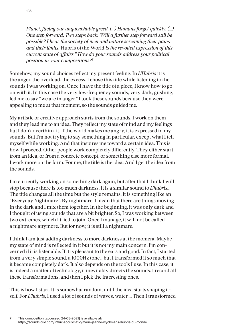*Planet, facing our unquenchable greed. (...) Humans forget quickly. (...) One step forward, Two steps back. Will a further step forward still be possible? I hear the society of men and nature screaming their pains and their limits.* Hubris of the World *is the revolted expression of this current state of affairs." How do your sounds address your political position in your compositions?*<sup>7</sup>

Somehow, my sound choices reflect my present feeling. In *L'Hubris* it is the anger, the overload, the excess. I chose this title while listening to the sounds I was working on. Once I have the title of a piece, I know how to go on with it. In this case the very low-frequency sounds, very dark, gushing, led me to say "we are in anger." I took these sounds because they were appealing to me at that moment, so the sounds guided me.

My artistic or creative approach starts from the sounds. I work on them and they lead me to an idea. They reflect my state of mind and my feelings but I don't overthink it. If the world makes me angry, it is expressed in my sounds. But I'm not trying to say something in particular, except what I tell myself while working. And that inspires me toward a certain idea. This is how I proceed. Other people work completely differently. They either start from an idea, or from a concrete concept, or something else more formal. I work more on the form. For me, the title is the idea. And I get the idea from the sounds.

I'm currently working on something dark again, but after that I think I will stop because there is too much darkness. It is a similar sound to *L'hubris*... The title changes all the time but the style remains. It is something like an "Everyday Nightmare". By nightmare, I mean that there are things moving in the dark and I mix them together. In the beginning, it was only dark and I thought of using sounds that are a bit brighter. So, I was working between two extremes, which I tried to join. Once I manage, it will not be called a nightmare anymore. But for now, it is still a nightmare.

I think I am just adding darkness to more darkness at the moment. Maybe my state of mind is reflected in it but it is not my main concern. I'm concerned if it is listenable. If it is pleasant to the ears and good. In fact, I started from a very simple sound, a 1000Hz tone… but I transformed it so much that it became completely dark. It also depends on the tools I use. In this case, it is indeed a matter of technology, it inevitably directs the sounds. I record all these transformations, and then I pick the interesting ones.

This is how I start. It is somewhat random, until the idea starts shaping itself. For *L'hubris*, I used a lot of sounds of waves, water.... Then I transformed